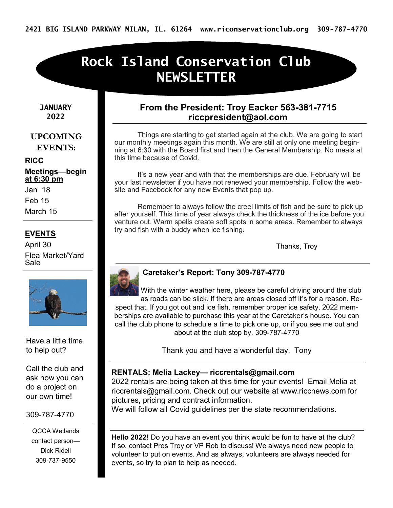# **Rock Island Conservation Club NEWSLETTER**

**JANUARY 2022**

#### **UPCOMING EVENTS:**

**RICC Meetings—begin at 6:30 pm** Jan 18

Feb 15

March 15

#### **EVENTS**

April 30 Flea Market/Yard Sale



Have a little time to help out?

Call the club and ask how you can do a project on our own time!

#### 309-787-4770

QCCA Wetlands contact person— Dick Ridell 309-737-9550

#### **From the President: Troy Eacker 563-381-7715 riccpresident@aol.com**

Things are starting to get started again at the club. We are going to start our monthly meetings again this month. We are still at only one meeting beginning at 6:30 with the Board first and then the General Membership. No meals at this time because of Covid.

It's a new year and with that the memberships are due. February will be your last newsletter if you have not renewed your membership. Follow the website and Facebook for any new Events that pop up.

 Remember to always follow the creel limits of fish and be sure to pick up after yourself. This time of year always check the thickness of the ice before you venture out. Warm spells create soft spots in some areas. Remember to always try and fish with a buddy when ice fishing.

Thanks, Troy



#### **Caretaker's Report: Tony 309-787-4770**

With the winter weather here, please be careful driving around the club as roads can be slick. If there are areas closed off it's for a reason. Respect that. If you got out and ice fish, remember proper ice safety. 2022 memberships are available to purchase this year at the Caretaker's house. You can call the club phone to schedule a time to pick one up, or if you see me out and about at the club stop by. 309-787-4770

Thank you and have a wonderful day. Tony

#### **RENTALS: Melia Lackey— riccrentals@gmail.com**

2022 rentals are being taken at this time for your events! Email Melia at riccrentals@gmail.com. Check out our website at www.riccnews.com for pictures, pricing and contract information.

We will follow all Covid guidelines per the state recommendations.

**Hello 2022!** Do you have an event you think would be fun to have at the club? If so, contact Pres Troy or VP Rob to discuss! We always need new people to volunteer to put on events. And as always, volunteers are always needed for events, so try to plan to help as needed.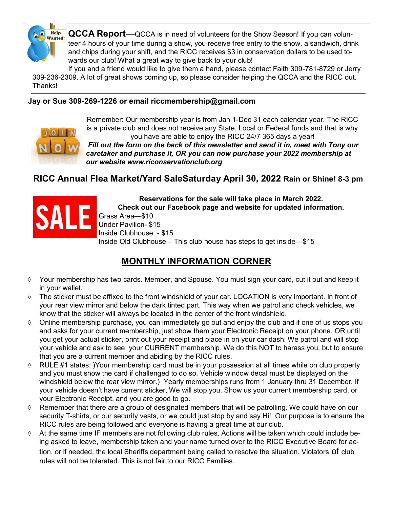

**QCCA Report**—QCCA is in need of volunteers for the Show Season! If you can volunteer 4 hours of your time during a show, you receive free entry to the show, a sandwich, drink and chips during your shift, and the RICC receives \$3 in conservation dollars to be used towards our club! What a great way to give back to your club!

If you and a friend would like to give them a hand, please contact Faith 309-781-8729 or Jerry 309-236-2309. A lot of great shows coming up, so please consider helping the QCCA and the RICC out. Thanks!

#### **Jay or Sue 309-269-1226 or email riccmembership@gmail.com**



Remember: Our membership year is from Jan 1-Dec 31 each calendar year. The RICC is a private club and does not receive any State, Local or Federal funds and that is why you have are able to enjoy the RICC 24/7 365 days a year!

*Fill out the form on the back of this newsletter and send it in, meet with Tony our caretaker and purchase it, OR you can now purchase your 2022 membership at our website www.riconservationclub.org* 

#### **RICC Annual Flea Market/Yard SaleSaturday April 30, 2022 Rain or Shine! 8-3 pm**



**Reservations for the sale will take place in March 2022. Check out our Facebook page and website for updated information.**  Grass Area—\$10 Under Pavilion- \$15 Inside Clubhouse - \$15 Inside Old Clubhouse – This club house has steps to get inside—\$15

### **MONTHLY INFORMATION CORNER**

- $\Diamond$  Your membership has two cards. Member, and Spouse. You must sign your card, cut it out and keep it in your wallet.
- $\Diamond$  The sticker must be affixed to the front windshield of your car. LOCATION is very important. In front of your rear view mirror and below the dark tinted part. This way when we patrol and check vehicles, we know that the sticker will always be located in the center of the front windshield.
- $\Diamond$  Online membership purchase, you can immediately go out and enjoy the club and if one of us stops you and asks for your current membership, just show them your Electronic Receipt on your phone. OR until you get your actual sticker, print out your receipt and place in on your car dash. We patrol and will stop your vehicle and ask to see your CURRENT membership. We do this NOT to harass you, but to ensure that you are a current member and abiding by the RICC rules.
- $\Diamond$  RULE #1 states: )Your membership card must be in your possession at all times while on club property and you must show the card if challenged to do so. Vehicle window decal must be displayed on the windshield below the rear view mirror.) Yearly memberships runs from 1 January thru 31 December. If your vehicle doesn't have current sticker, We will stop you. Show us your current membership card, or your Electronic Receipt, and you are good to go.
- $\Diamond$  Remember that there are a group of designated members that will be patrolling. We could have on our security T-shirts, or our security vests, or we could just stop by and say Hi! Our purpose is to ensure the RICC rules are being followed and everyone is having a great time at our club.
- At the same time IF members are not following club rules, Actions will be taken which could include being asked to leave, membership taken and your name turned over to the RICC Executive Board for action, or if needed, the local Sheriffs department being called to resolve the situation. Violators of club rules will not be tolerated. This is not fair to our RICC Families.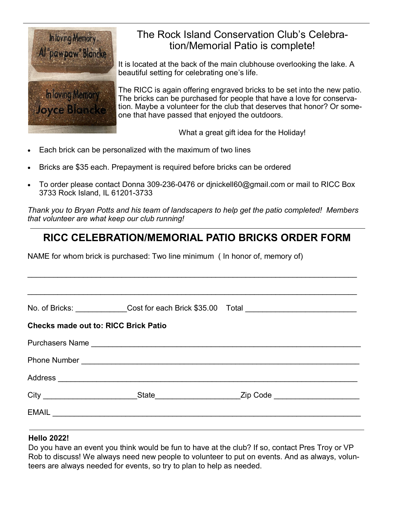

### The Rock Island Conservation Club's Celebration/Memorial Patio is complete!

It is located at the back of the main clubhouse overlooking the lake. A beautiful setting for celebrating one's life.

The RICC is again offering engraved bricks to be set into the new patio. The bricks can be purchased for people that have a love for conservation. Maybe a volunteer for the club that deserves that honor? Or someone that have passed that enjoyed the outdoors.

What a great gift idea for the Holiday!

- Each brick can be personalized with the maximum of two lines
- Bricks are \$35 each. Prepayment is required before bricks can be ordered
- To order please contact Donna 309-236-0476 or djnickell60@gmail.com or mail to RICC Box 3733 Rock Island, IL 61201-3733

*Thank you to Bryan Potts and his team of landscapers to help get the patio completed! Members that volunteer are what keep our club running!*

## **RICC CELEBRATION/MEMORIAL PATIO BRICKS ORDER FORM**

 $\mathcal{L}_\mathcal{L} = \mathcal{L}_\mathcal{L} = \mathcal{L}_\mathcal{L} = \mathcal{L}_\mathcal{L} = \mathcal{L}_\mathcal{L} = \mathcal{L}_\mathcal{L} = \mathcal{L}_\mathcal{L} = \mathcal{L}_\mathcal{L} = \mathcal{L}_\mathcal{L} = \mathcal{L}_\mathcal{L} = \mathcal{L}_\mathcal{L} = \mathcal{L}_\mathcal{L} = \mathcal{L}_\mathcal{L} = \mathcal{L}_\mathcal{L} = \mathcal{L}_\mathcal{L} = \mathcal{L}_\mathcal{L} = \mathcal{L}_\mathcal{L}$ 

NAME for whom brick is purchased: Two line minimum ( In honor of, memory of)

|                                             |                                                                                                                                                                                                                               | No. of Bricks: Cost for each Brick \$35.00 Total Content Content Cost for each Brick \$35.00 Total |  |  |
|---------------------------------------------|-------------------------------------------------------------------------------------------------------------------------------------------------------------------------------------------------------------------------------|----------------------------------------------------------------------------------------------------|--|--|
| <b>Checks made out to: RICC Brick Patio</b> |                                                                                                                                                                                                                               |                                                                                                    |  |  |
|                                             |                                                                                                                                                                                                                               |                                                                                                    |  |  |
|                                             |                                                                                                                                                                                                                               |                                                                                                    |  |  |
|                                             |                                                                                                                                                                                                                               |                                                                                                    |  |  |
|                                             |                                                                                                                                                                                                                               |                                                                                                    |  |  |
|                                             | EMAIL CONSULTER AND ACCOUNT OF THE RESIDENCE OF THE RESIDENCE OF THE RESIDENCE OF THE RESIDENCE OF THE RESIDENCE OF THE RESIDENCE OF THE RESIDENCE OF THE RESIDENCE OF THE RESIDENCE OF THE RESIDENCE OF THE RESIDENCE OF THE |                                                                                                    |  |  |
|                                             |                                                                                                                                                                                                                               |                                                                                                    |  |  |

#### **Hello 2022!**

Do you have an event you think would be fun to have at the club? If so, contact Pres Troy or VP Rob to discuss! We always need new people to volunteer to put on events. And as always, volunteers are always needed for events, so try to plan to help as needed.